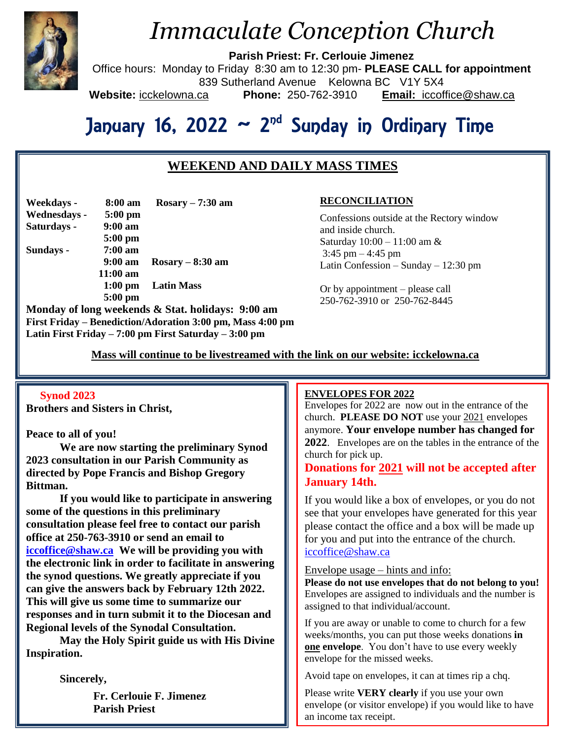

# *Immaculate Conception Church*

**Parish Priest: Fr. Cerlouie Jimenez**

Office hours: Monday to Friday 8:30 am to 12:30 pm- **PLEASE CALL for appointment** 839 Sutherland Avenue Kelowna BC V1Y 5X4 **Website:** icckelowna.ca **Phone:** 250-762-3910 **Email:** iccoffice@shaw.ca

# January 16, 2022 ~ 2<sup>nd</sup> Sunday in Ordinary Time

# **WEEKEND AND DAILY MASS TIMES**

| Weekdays -   | 8:00 am            | $Rosary - 7:30 am$ |
|--------------|--------------------|--------------------|
| Wednesdays - | $5:00$ pm          |                    |
| Saturdays -  | $9:00$ am          |                    |
|              | $5:00$ pm          |                    |
| Sundays -    | $7:00 \text{ am}$  |                    |
|              | $9:00 \text{ am}$  | $Rosary - 8:30$ am |
|              | $11:00 \text{ am}$ |                    |
|              | $1:00$ pm          | <b>Latin Mass</b>  |
|              | $5:00$ pm          |                    |
|              |                    |                    |

**Monday of long weekends & Stat. holidays: 9:00 am First Friday – Benediction/Adoration 3:00 pm, Mass 4:00 pm Latin First Friday – 7:00 pm First Saturday – 3:00 pm** 

### **RECONCILIATION**

Confessions outside at the Rectory window and inside church. Saturday 10:00 – 11:00 am & 3:45 pm  $-4:45$  pm Latin Confession – Sunday – 12:30 pm

Or by appointment – please call 250-762-3910 or 250-762-8445

 **Mass will continue to be livestreamed with the link on our website: icckelowna.ca**

#### **Synod 2023**

**Brothers and Sisters in Christ,**

#### **Peace to all of you!**

**We are now starting the preliminary Synod 2023 consultation in our Parish Community as directed by Pope Francis and Bishop Gregory Bittman.** 

**If you would like to participate in answering some of the questions in this preliminary consultation please feel free to contact our parish office at 250-763-3910 or send an email to [iccoffice@shaw.ca](mailto:iccoffice@shaw.ca) We will be providing you with the electronic link in order to facilitate in answering the synod questions. We greatly appreciate if you can give the answers back by February 12th 2022. This will give us some time to summarize our responses and in turn submit it to the Diocesan and Regional levels of the Synodal Consultation.** 

**May the Holy Spirit guide us with His Divine Inspiration.** 

**Sincerely,**

**Fr. Cerlouie F. Jimenez Parish Priest**

#### ֺ **ENVELOPES FOR 2022**

Envelopes for  $2022$  are now out in the entrance of the church. **PLEASE DO NOT** use your 2021 envelopes anymore. **Your envelope number has changed for 2022**. Envelopes are on the tables in the entrance of the church for pick up.

## **Donations for 2021 will not be accepted after January 14th.**

If you would like a box of envelopes, or you do not see that your envelopes have generated for this year please contact the office and a box will be made up for you and put into the entrance of the church. [iccoffice@shaw.ca](mailto:iccoffice@shaw.ca)

#### Envelope usage – hints and info:

**Please do not use envelopes that do not belong to you!** Envelopes are assigned to individuals and the number is assigned to that individual/account.

If you are away or unable to come to church for a few weeks/months, you can put those weeks donations **in one envelope**. You don't have to use every weekly envelope for the missed weeks.

Avoid tape on envelopes, it can at times rip a chq.

Please write **VERY clearly** if you use your own envelope (or visitor envelope) if you would like to have an income tax receipt.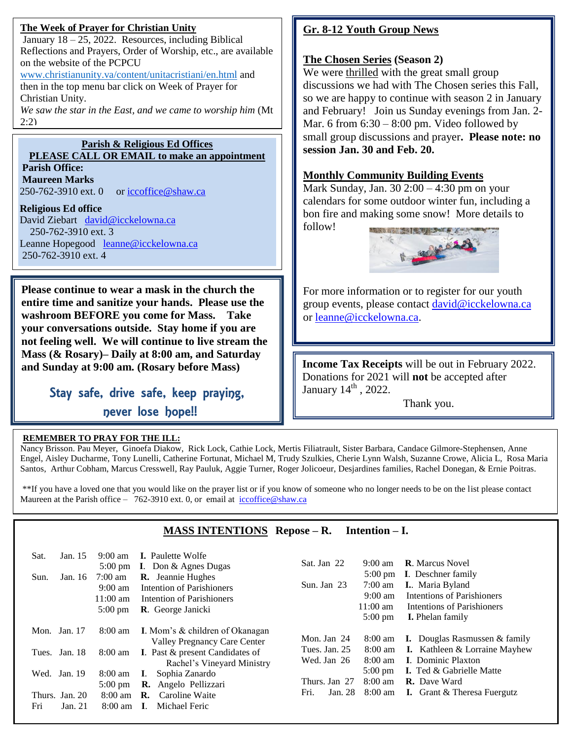## **The Week of Prayer for Christian Unity**

January  $18 - 25$ , 2022. Resources, including Biblical Reflections and Prayers, Order of Worship, etc., are available on the website of the PCPCU

[www.christianunity.va/content/unitacristiani/en.html](http://www.christianunity.va/content/unitacristiani/en.html) and then in the top menu bar click on Week of Prayer for Christian Unity.

*We saw the star in the East, and we came to worship him* (Mt 2:2)

## **Parish & Religious Ed Offices**

**PLEASE CALL OR EMAIL to make an appointment Parish Office: Maureen Marks** 

250-762-3910 ext. 0 or [iccoffice@shaw.ca](mailto:iccoffice@shaw.ca)

## **Religious Ed office**

Ξ

David Ziebart [david@icckelowna.ca](mailto:david@icckelowna.ca)  250-762-3910 ext. 3 Leanne Hopegood [leanne@icckelowna.ca](mailto:leanne@icckelowna.ca) 250-762-3910 ext. 4

**Please continue to wear a mask in the church the entire time and sanitize your hands. Please use the washroom BEFORE you come for Mass. Take your conversations outside. Stay home if you are not feeling well. We will continue to live stream the Mass (& Rosary)– Daily at 8:00 am, and Saturday and Sunday at 9:00 am. (Rosary before Mass)**

> Stay safe, drive safe, keep praying, never lose hope!!

# **REMEMBER TO PRAY FOR THE ILL:**

# **Gr. 8-12 Youth Group News**

# **The Chosen Series (Season 2)**

We were thrilled with the great small group discussions we had with The Chosen series this Fall, so we are happy to continue with season 2 in January and February! Join us Sunday evenings from Jan. 2- Mar. 6 from  $6:30 - 8:00$  pm. Video followed by small group discussions and prayer**. Please note: no session Jan. 30 and Feb. 20.**

# **Monthly Community Building Events**

Mark Sunday, Jan. 30 2:00 – 4:30 pm on your calendars for some outdoor winter fun, including a bon fire and making some snow! More details to follow!



For more information or to register for our youth group events, please contact [david@icckelowna.ca](mailto:david@icckelowna.ca) or [leanne@icckelowna.ca.](mailto:leanne@icckelowna.ca)

**Income Tax Receipts** will be out in February 2022. Donations for 2021 will **not** be accepted after January  $14<sup>th</sup>$ , 2022.

Thank you.

Nancy Brisson. Pau Meyer, Ginoefa Diakow, Rick Lock, Cathie Lock, Mertis Filiatrault, Sister Barbara, Candace Gilmore-Stephensen, Anne Engel, Aisley Ducharme, Tony Lunelli, Catherine Fortunat, Michael M, Trudy Szulkies, Cherie Lynn Walsh, Suzanne Crowe, Alicia L, Rosa Maria Santos, Arthur Cobham, Marcus Cresswell, Ray Pauluk, Aggie Turner, Roger Jolicoeur, Desjardines families, Rachel Donegan, & Ernie Poitras.

\*\*If you have a loved one that you would like on the prayer list or if you know of someone who no longer needs to be on the list please contact Maureen at the Parish office – 762-3910 ext. 0, or email at iccoffice@shaw.ca  $\overline{a}$ 

|                                    |                                                                                                                             | <b>MASS INTENTIONS</b> Repose – R.                                                                                                                                           |                              | Intention $-$ I.                                                                                                            |                                                                                                                                                                      |
|------------------------------------|-----------------------------------------------------------------------------------------------------------------------------|------------------------------------------------------------------------------------------------------------------------------------------------------------------------------|------------------------------|-----------------------------------------------------------------------------------------------------------------------------|----------------------------------------------------------------------------------------------------------------------------------------------------------------------|
| Jan. 15<br>Sat.<br>Jan. 16<br>Sun. | $9:00 \text{ am}$<br>$5:00 \text{ pm}$<br>$7:00 \text{ am}$<br>$9:00 \text{ am}$<br>$11:00 \text{ am}$<br>$5:00 \text{ pm}$ | <b>I.</b> Paulette Wolfe<br><b>I.</b> Don $\&$ Agnes Dugas<br><b>R.</b> Jeannie Hughes<br>Intention of Parishioners<br>Intention of Parishioners<br><b>R.</b> George Janicki | Sat. Jan 22<br>Sun. Jan 23   | $9:00 \text{ am}$<br>$5:00 \text{ pm}$<br>$7:00 \text{ am}$<br>$9:00 \text{ am}$<br>$11:00 \text{ am}$<br>$5:00 \text{ pm}$ | <b>R.</b> Marcus Novel<br><b>I.</b> Deschner family<br>I. Maria Byland<br><b>Intentions of Parishioners</b><br>Intentions of Parishioners<br><b>I.</b> Phelan family |
| Jan. 17<br>Mon.                    | $8:00 \text{ am}$                                                                                                           | <b>I.</b> Mom's & children of Okanagan                                                                                                                                       | Mon. Jan 24                  | $8:00 \text{ am}$                                                                                                           | <b>I.</b> Douglas Rasmussen $\&$ family                                                                                                                              |
| Tues. Jan. 18                      | 8:00 am                                                                                                                     | Valley Pregnancy Care Center<br>I. Past & present Candidates of<br>Rachel's Vineyard Ministry                                                                                | Tues. Jan. 25<br>Wed. Jan 26 | $8:00 \text{ am}$<br>$8:00 \text{ am}$                                                                                      | <b>I.</b> Kathleen & Lorraine Mayhew<br><b>I.</b> Dominic Plaxton                                                                                                    |
| Jan. 19<br>Wed.                    | $8:00 \text{ am}$                                                                                                           | Sophia Zanardo<br>L.                                                                                                                                                         | Thurs. Jan 27                | $5:00 \text{ pm}$<br>$8:00$ am                                                                                              | <b>I.</b> Ted & Gabrielle Matte<br><b>R.</b> Dave Ward                                                                                                               |
| Thurs. Jan. 20<br>Fri<br>Jan. 21   | $5:00 \text{ pm}$<br>$8:00 \text{ am}$<br>$8:00 \text{ am}$                                                                 | R. Angelo Pellizzari<br>Caroline Waite<br>R.<br>Michael Feric                                                                                                                | Fri.<br>Jan. 28              | $8:00 \text{ am}$                                                                                                           | <b>I.</b> Grant $\&$ Theresa Fuergutz                                                                                                                                |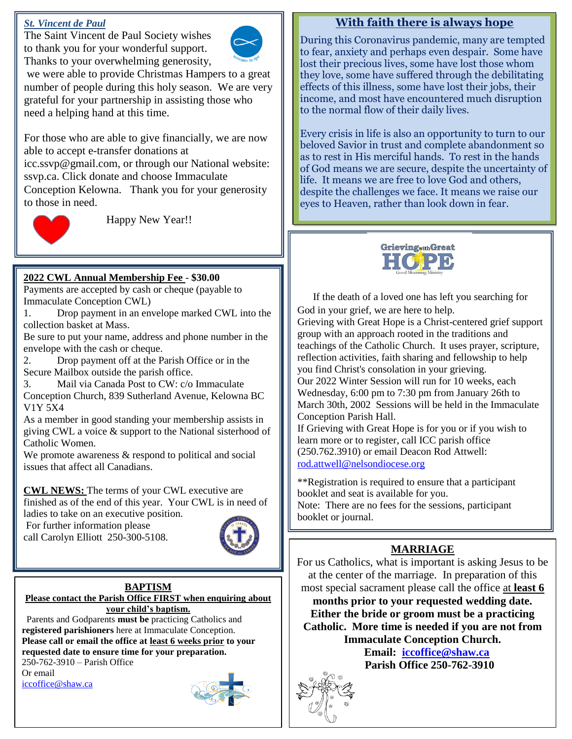### *St. Vincent de Paul*

The Saint Vincent de Paul Society wishes to thank you for your wonderful support. Thanks to your overwhelming generosity,



we were able to provide Christmas Hampers to a great number of people during this holy season. We are very grateful for your partnership in assisting those who need a helping hand at this time.

For those who are able to give financially, we are now able to accept e-transfer donations at icc.ssvp@gmail.com, or through our National website: ssvp.ca. Click donate and choose Immaculate Conception Kelowna. Thank you for your generosity to those in need.



Happy New Year!!

## **2022 CWL Annual Membership Fee** - **\$30.00**

Payments are accepted by cash or cheque (payable to Immaculate Conception CWL)

1. Drop payment in an envelope marked CWL into the collection basket at Mass.

Be sure to put your name, address and phone number in the envelope with the cash or cheque.

2. Drop payment off at the Parish Office or in the Secure Mailbox outside the parish office.

3. Mail via Canada Post to CW: c/o Immaculate

Conception Church, 839 Sutherland Avenue, Kelowna BC V1Y 5X4

As a member in good standing your membership assists in giving CWL a voice & support to the National sisterhood of Catholic Women.

We promote awareness  $\&$  respond to political and social issues that affect all Canadians.

**CWL NEWS:** The terms of your CWL executive are finished as of the end of this year. Your CWL is in need of

ladies to take on an executive position.

For further information please call Carolyn Elliott 250-300-5108.



#### **BAPTISM Please contact the Parish Office FIRST when enquiring about your child's baptism.**

 Parents and Godparents **must be** practicing Catholics and **registered parishioners** here at Immaculate Conception. **Please call or email the office at least 6 weeks prior to your requested date to ensure time for your preparation.** 

250-762-3910 – Parish Office Or email [iccoffice@shaw.ca](mailto:iccoffice@shaw.ca) 



# **With faith there is always hope**

During this Coronavirus pandemic, many are tempted to fear, anxiety and perhaps even despair. Some have lost their precious lives, some have lost those whom they love, some have suffered through the debilitating effects of this illness, some have lost their jobs, their income, and most have encountered much disruption to the normal flow of their daily lives.

Every crisis in life is also an opportunity to turn to our beloved Savior in trust and complete abandonment so as to rest in His merciful hands. To rest in the hands of God means we are secure, despite the uncertainty of life. It means we are free to love God and others, despite the challenges we face. It means we raise our eyes to Heaven, rather than look down in fear.



**V**If the death of a loved one has left you searching for God in your grief, we are here to help.

Grieving with Great Hope is a Christ-centered grief support group with an approach rooted in the traditions and teachings of the Catholic Church. It uses prayer, scripture, reflection activities, faith sharing and fellowship to help you find Christ's consolation in your grieving. Our 2022 Winter Session will run for 10 weeks, each

Wednesday, 6:00 pm to 7:30 pm from January 26th to March 30th, 2002 Sessions will be held in the Immaculate Conception Parish Hall.

If Grieving with Great Hope is for you or if you wish to learn more or to register, call ICC parish office (250.762.3910) or email Deacon Rod Attwell: [rod.attwell@nelsondiocese.org](mailto:rod.attwell@nelsondiocese.org)

\*\*Registration is required to ensure that a participant booklet and seat is available for you. Note: There are no fees for the sessions, participant booklet or journal.

# **IA ZOOM FOR MARRIAGE**

**MAKKIAGE**<br>For us Catholics, what is important is asking Jesus to be at the center of the marriage. In preparation of this most special sacrament please call the office at **least** most special sacrament please call the office at **least 6**

months prior to your requested wedding date. **Hours are strict of groom must be a practicing**<br>Catholic. More time is needed if you are not from **No. 1 Either the bride or groom must be a practicing Immaculate Conception Church.**

**EXCEPT FOR SPACE 250-762-3910 Email: [iccoffice@shaw.ca](mailto:iccoffice@shaw.ca)**

**BREAK (TWO WEEKS)** 

**CONTINUE APPROX**